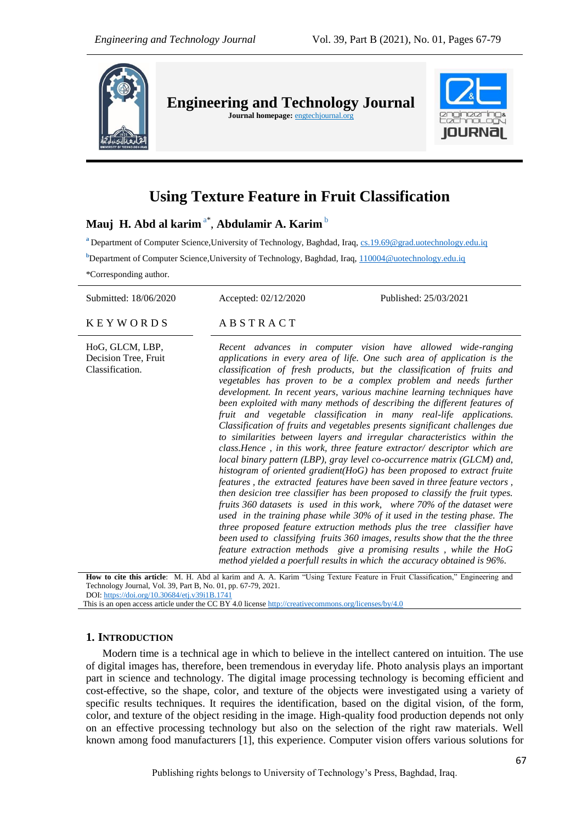

# **Using Texture Feature in Fruit Classification**

# **Mauj H. Abd al karim** a\* , **Abdulamir A. Karim** <sup>b</sup>

<sup>a</sup> Department of Computer Science, University of Technology, Baghdad, Iraq, [cs.19.69@grad.uotechnology.edu.iq](mailto:cs.19.69@grad.uotechnology.edu.iq) **b**Department of Computer Science,University of Technology, Baghdad, Iraq[, 110004@uotechnology.edu.iq](mailto:110004@uotechnology.edu.iq) \*Corresponding author.

Submitted: 18/06/2020 Accepted: 02/12/2020 Published: 25/03/2021 K E Y W O R D S A B S T R A C T HoG, GLCM, LBP, Decision Tree, Fruit Classification. *Recent advances in computer vision have allowed wide-ranging applications in every area of life. One such area of application is the classification of fresh products, but the classification of fruits and vegetables has proven to be a complex problem and needs further development. In recent years, various machine learning techniques have been exploited with many methods of describing the different features of fruit and vegetable classification in many real-life applications. Classification of fruits and vegetables presents significant challenges due to similarities between layers and irregular characteristics within the class.Hence , in this work, three feature extractor/ descriptor which are local binary pattern (LBP), gray level co-occurrence matrix (GLCM) and, histogram of oriented gradient(HoG) has been proposed to extract fruite features , the extracted features have been saved in three feature vectors , then desicion tree classifier has been proposed to classify the fruit types.* 

**How to cite this article**: M. H. Abd al karim and A. A. Karim "Using Texture Feature in Fruit Classification," Engineering and Technology Journal, Vol. 39, Part B, No. 01, pp. 67-79, 2021. DOI: <https://doi.org/10.30684/etj.v39i1B.1741>

*fruits 360 datasets is used in this work, where 70% of the dataset were used in the training phase while 30% of it used in the testing phase. The three proposed feature extruction methods plus the tree classifier have been used to classifying fruits 360 images, results show that the the three feature extraction methods give a promising results , while the HoG method yielded a poerfull results in which the accuracy obtained is 96%.*

This is an open access article under the CC BY 4.0 licens[e http://creativecommons.org/licenses/by/4.0](http://creativecommons.org/licenses/by/4.0)

#### **1. INTRODUCTION**

Modern time is a technical age in which to believe in the intellect cantered on intuition. The use of digital images has, therefore, been tremendous in everyday life. Photo analysis plays an important part in science and technology. The digital image processing technology is becoming efficient and cost-effective, so the shape, color, and texture of the objects were investigated using a variety of specific results techniques. It requires the identification, based on the digital vision, of the form, color, and texture of the object residing in the image. High-quality food production depends not only on an effective processing technology but also on the selection of the right raw materials. Well known among food manufacturers [1], this experience. Computer vision offers various solutions for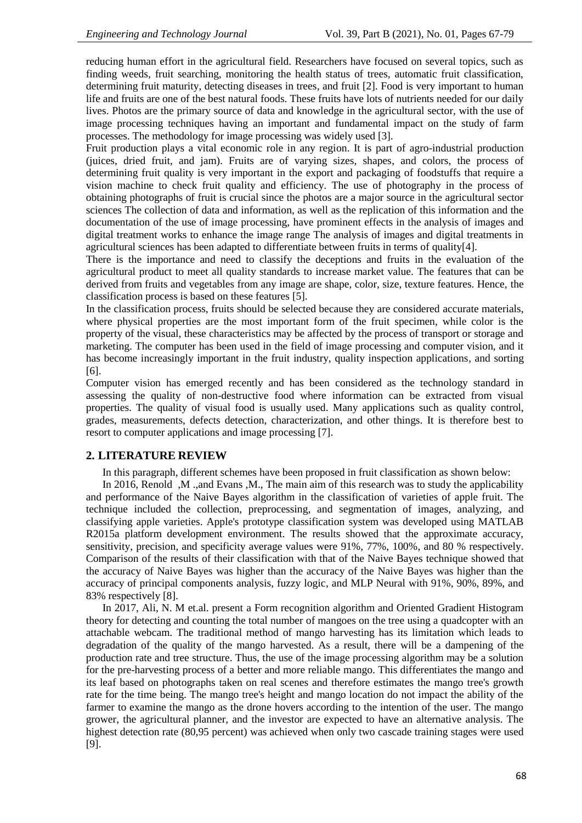reducing human effort in the agricultural field. Researchers have focused on several topics, such as finding weeds, fruit searching, monitoring the health status of trees, automatic fruit classification, determining fruit maturity, detecting diseases in trees, and fruit [2]. Food is very important to human life and fruits are one of the best natural foods. These fruits have lots of nutrients needed for our daily lives. Photos are the primary source of data and knowledge in the agricultural sector, with the use of image processing techniques having an important and fundamental impact on the study of farm processes. The methodology for image processing was widely used [3].

Fruit production plays a vital economic role in any region. It is part of agro-industrial production (juices, dried fruit, and jam). Fruits are of varying sizes, shapes, and colors, the process of determining fruit quality is very important in the export and packaging of foodstuffs that require a vision machine to check fruit quality and efficiency. The use of photography in the process of obtaining photographs of fruit is crucial since the photos are a major source in the agricultural sector sciences The collection of data and information, as well as the replication of this information and the documentation of the use of image processing, have prominent effects in the analysis of images and digital treatment works to enhance the image range The analysis of images and digital treatments in agricultural sciences has been adapted to differentiate between fruits in terms of quality[4].

There is the importance and need to classify the deceptions and fruits in the evaluation of the agricultural product to meet all quality standards to increase market value. The features that can be derived from fruits and vegetables from any image are shape, color, size, texture features. Hence, the classification process is based on these features [5].

In the classification process, fruits should be selected because they are considered accurate materials, where physical properties are the most important form of the fruit specimen, while color is the property of the visual, these characteristics may be affected by the process of transport or storage and marketing. The computer has been used in the field of image processing and computer vision, and it has become increasingly important in the fruit industry, quality inspection applications, and sorting [6].

Computer vision has emerged recently and has been considered as the technology standard in assessing the quality of non-destructive food where information can be extracted from visual properties. The quality of visual food is usually used. Many applications such as quality control, grades, measurements, defects detection, characterization, and other things. It is therefore best to resort to computer applications and image processing [7].

# **2. LITERATURE REVIEW**

In this paragraph, different schemes have been proposed in fruit classification as shown below:

In 2016, Renold, M .,and Evans, M., The main aim of this research was to study the applicability and performance of the Naive Bayes algorithm in the classification of varieties of apple fruit. The technique included the collection, preprocessing, and segmentation of images, analyzing, and classifying apple varieties. Apple's prototype classification system was developed using MATLAB R2015a platform development environment. The results showed that the approximate accuracy, sensitivity, precision, and specificity average values were 91%, 77%, 100%, and 80 % respectively. Comparison of the results of their classification with that of the Naive Bayes technique showed that the accuracy of Naive Bayes was higher than the accuracy of the Naive Bayes was higher than the accuracy of principal components analysis, fuzzy logic, and MLP Neural with 91%, 90%, 89%, and 83% respectively [8].

In 2017, Ali, N. M et.al. present a Form recognition algorithm and Oriented Gradient Histogram theory for detecting and counting the total number of mangoes on the tree using a quadcopter with an attachable webcam. The traditional method of mango harvesting has its limitation which leads to degradation of the quality of the mango harvested. As a result, there will be a dampening of the production rate and tree structure. Thus, the use of the image processing algorithm may be a solution for the pre-harvesting process of a better and more reliable mango. This differentiates the mango and its leaf based on photographs taken on real scenes and therefore estimates the mango tree's growth rate for the time being. The mango tree's height and mango location do not impact the ability of the farmer to examine the mango as the drone hovers according to the intention of the user. The mango grower, the agricultural planner, and the investor are expected to have an alternative analysis. The highest detection rate (80,95 percent) was achieved when only two cascade training stages were used [9].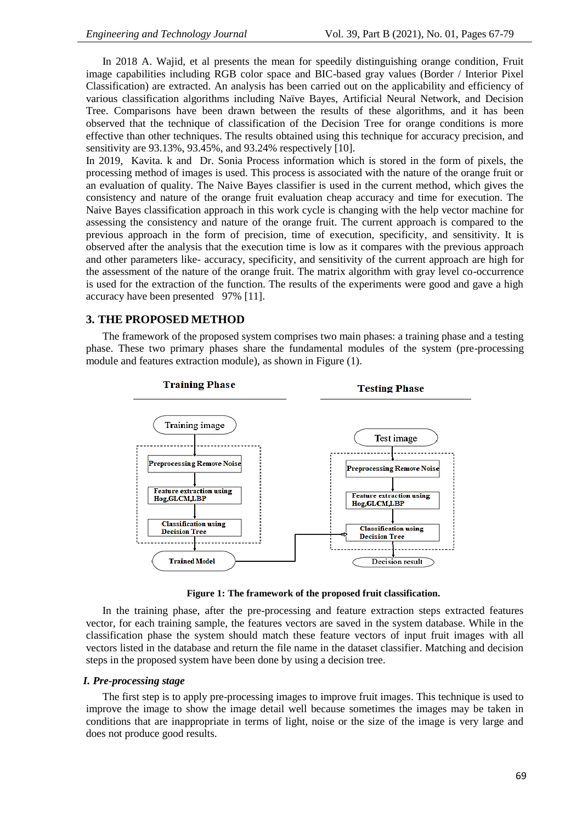In 2018 A. Wajid, et al presents the mean for speedily distinguishing orange condition, Fruit image capabilities including RGB color space and BIC-based gray values (Border / Interior Pixel Classification) are extracted. An analysis has been carried out on the applicability and efficiency of various classification algorithms including Naïve Bayes, Artificial Neural Network, and Decision Tree. Comparisons have been drawn between the results of these algorithms, and it has been observed that the technique of classification of the Decision Tree for orange conditions is more effective than other techniques. The results obtained using this technique for accuracy precision, and sensitivity are 93.13%, 93.45%, and 93.24% respectively [10].

In 2019, Kavita. k and Dr. Sonia Process information which is stored in the form of pixels, the processing method of images is used. This process is associated with the nature of the orange fruit or an evaluation of quality. The Naive Bayes classifier is used in the current method, which gives the consistency and nature of the orange fruit evaluation cheap accuracy and time for execution. The Naive Bayes classification approach in this work cycle is changing with the help vector machine for assessing the consistency and nature of the orange fruit. The current approach is compared to the previous approach in the form of precision, time of execution, specificity, and sensitivity. It is observed after the analysis that the execution time is low as it compares with the previous approach and other parameters like- accuracy, specificity, and sensitivity of the current approach are high for the assessment of the nature of the orange fruit. The matrix algorithm with gray level co-occurrence is used for the extraction of the function. The results of the experiments were good and gave a high accuracy have been presented 97% [11].

### **3. THE PROPOSED METHOD**

The framework of the proposed system comprises two main phases: a training phase and a testing phase. These two primary phases share the fundamental modules of the system (pre-processing module and features extraction module), as shown in Figure (1).



**Figure 1: The framework of the proposed fruit classification.**

In the training phase, after the pre-processing and feature extraction steps extracted features vector, for each training sample, the features vectors are saved in the system database. While in the classification phase the system should match these feature vectors of input fruit images with all vectors listed in the database and return the file name in the dataset classifier. Matching and decision steps in the proposed system have been done by using a decision tree.

#### *I. Pre-processing stage*

The first step is to apply pre-processing images to improve fruit images. This technique is used to improve the image to show the image detail well because sometimes the images may be taken in conditions that are inappropriate in terms of light, noise or the size of the image is very large and does not produce good results.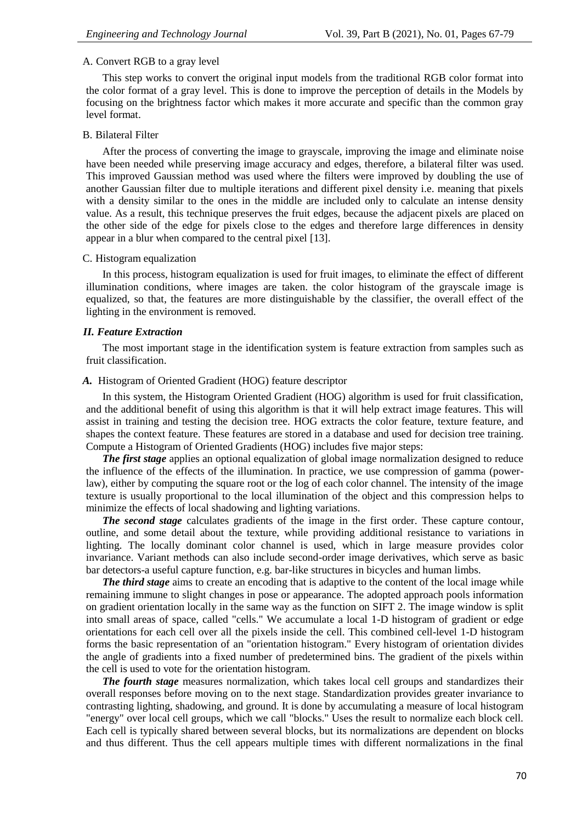#### A. Convert RGB to a gray level

This step works to convert the original input models from the traditional RGB color format into the color format of a gray level. This is done to improve the perception of details in the Models by focusing on the brightness factor which makes it more accurate and specific than the common gray level format.

#### B. Bilateral Filter

After the process of converting the image to grayscale, improving the image and eliminate noise have been needed while preserving image accuracy and edges, therefore, a bilateral filter was used. This improved Gaussian method was used where the filters were improved by doubling the use of another Gaussian filter due to multiple iterations and different pixel density i.e. meaning that pixels with a density similar to the ones in the middle are included only to calculate an intense density value. As a result, this technique preserves the fruit edges, because the adjacent pixels are placed on the other side of the edge for pixels close to the edges and therefore large differences in density appear in a blur when compared to the central pixel [13].

#### C. Histogram equalization

In this process, histogram equalization is used for fruit images, to eliminate the effect of different illumination conditions, where images are taken. the color histogram of the grayscale image is equalized, so that, the features are more distinguishable by the classifier, the overall effect of the lighting in the environment is removed.

#### *II. Feature Extraction*

The most important stage in the identification system is feature extraction from samples such as fruit classification.

#### *A.* Histogram of Oriented Gradient (HOG) feature descriptor

In this system, the Histogram Oriented Gradient (HOG) algorithm is used for fruit classification, and the additional benefit of using this algorithm is that it will help extract image features. This will assist in training and testing the decision tree. HOG extracts the color feature, texture feature, and shapes the context feature. These features are stored in a database and used for decision tree training. Compute a Histogram of Oriented Gradients (HOG) includes five major steps:

*The first stage* applies an optional equalization of global image normalization designed to reduce the influence of the effects of the illumination. In practice, we use compression of gamma (powerlaw), either by computing the square root or the log of each color channel. The intensity of the image texture is usually proportional to the local illumination of the object and this compression helps to minimize the effects of local shadowing and lighting variations.

*The second stage* calculates gradients of the image in the first order. These capture contour, outline, and some detail about the texture, while providing additional resistance to variations in lighting. The locally dominant color channel is used, which in large measure provides color invariance. Variant methods can also include second-order image derivatives, which serve as basic bar detectors-a useful capture function, e.g. bar-like structures in bicycles and human limbs.

*The third stage* aims to create an encoding that is adaptive to the content of the local image while remaining immune to slight changes in pose or appearance. The adopted approach pools information on gradient orientation locally in the same way as the function on SIFT 2. The image window is split into small areas of space, called "cells." We accumulate a local 1-D histogram of gradient or edge orientations for each cell over all the pixels inside the cell. This combined cell-level 1-D histogram forms the basic representation of an "orientation histogram." Every histogram of orientation divides the angle of gradients into a fixed number of predetermined bins. The gradient of the pixels within the cell is used to vote for the orientation histogram.

*The fourth stage* measures normalization, which takes local cell groups and standardizes their overall responses before moving on to the next stage. Standardization provides greater invariance to contrasting lighting, shadowing, and ground. It is done by accumulating a measure of local histogram "energy" over local cell groups, which we call "blocks." Uses the result to normalize each block cell. Each cell is typically shared between several blocks, but its normalizations are dependent on blocks and thus different. Thus the cell appears multiple times with different normalizations in the final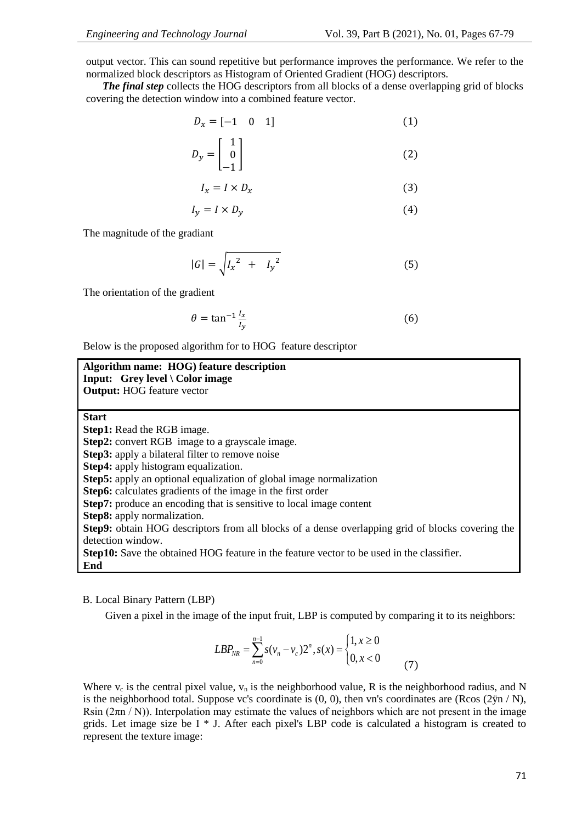output vector. This can sound repetitive but performance improves the performance. We refer to the normalized block descriptors as Histogram of Oriented Gradient (HOG) descriptors.

*The final step* collects the HOG descriptors from all blocks of a dense overlapping grid of blocks covering the detection window into a combined feature vector.

$$
D_x = \begin{bmatrix} -1 & 0 & 1 \end{bmatrix} \tag{1}
$$

$$
D_{y} = \begin{bmatrix} 1 \\ 0 \\ -1 \end{bmatrix} \tag{2}
$$

$$
I_x = I \times D_x \tag{3}
$$

$$
I_y = I \times D_y \tag{4}
$$

The magnitude of the gradiant

$$
|G| = \sqrt{I_x^2 + I_y^2}
$$
 (5)

The orientation of the gradient

$$
\theta = \tan^{-1} \frac{l_x}{l_y} \tag{6}
$$

Below is the proposed algorithm for to HOG feature descriptor

| Algorithm name: HOG) feature description                                                         |
|--------------------------------------------------------------------------------------------------|
| Input: Grey level \ Color image                                                                  |
| <b>Output:</b> HOG feature vector                                                                |
|                                                                                                  |
| <b>Start</b>                                                                                     |
| <b>Step1:</b> Read the RGB image.                                                                |
| <b>Step2:</b> convert RGB image to a grayscale image.                                            |
| <b>Step3:</b> apply a bilateral filter to remove noise                                           |
| Step4: apply histogram equalization.                                                             |
| <b>Step5:</b> apply an optional equalization of global image normalization                       |
| Step6: calculates gradients of the image in the first order                                      |
| Step7: produce an encoding that is sensitive to local image content                              |
| Step8: apply normalization.                                                                      |
| Step9: obtain HOG descriptors from all blocks of a dense overlapping grid of blocks covering the |
| detection window.                                                                                |
| <b>Step10:</b> Save the obtained HOG feature in the feature vector to be used in the classifier. |
| End                                                                                              |

#### B. Local Binary Pattern (LBP)

Given a pixel in the image of the input fruit, LBP is computed by comparing it to its neighbors:

$$
LBP_{NR} = \sum_{n=0}^{n-1} s(v_n - v_c) 2^n, s(x) = \begin{cases} 1, x \ge 0\\ 0, x < 0 \end{cases}
$$
 (7)

Where  $v_c$  is the central pixel value,  $v_n$  is the neighborhood value, R is the neighborhood radius, and N is the neighborhood total. Suppose vc's coordinate is  $(0, 0)$ , then vn's coordinates are  $(R\cos(2\ddot{y}n/N),$ Rsin  $(2\pi n/N)$ ). Interpolation may estimate the values of neighbors which are not present in the image grids. Let image size be I \* J. After each pixel's LBP code is calculated a histogram is created to represent the texture image: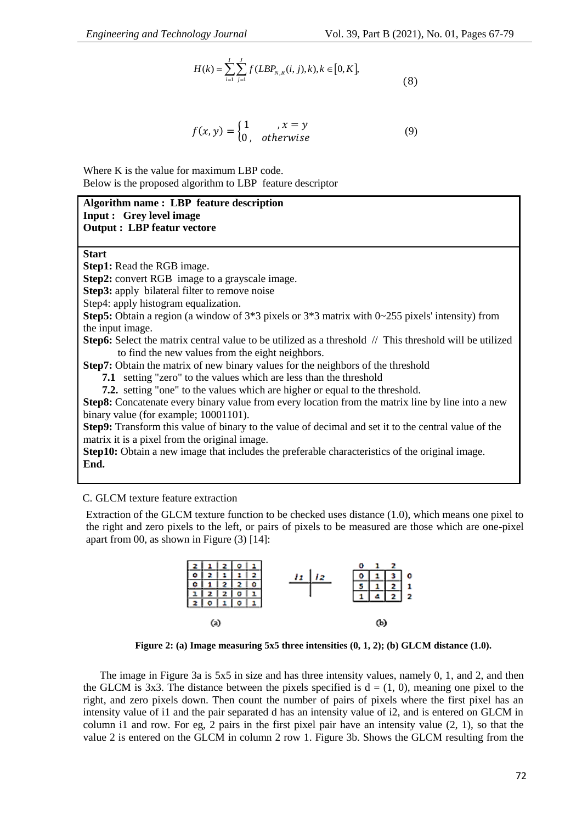$$
H(k) = \sum_{i=1}^{I} \sum_{j=1}^{J} f(LBP_{N,R}(i,j),k), k \in [0, K],
$$
\n(8)

$$
f(x,y) = \begin{cases} 1 & ,x = y \\ 0, & otherwise \end{cases}
$$
 (9)

Where K is the value for maximum LBP code. Below is the proposed algorithm to LBP feature descriptor

### **Algorithm name : LBP feature description Input : Grey level image Output : LBP featur vectore**

**Start**

**Step1:** Read the RGB image.

**Step2:** convert RGB image to a grayscale image.

**Step3:** apply bilateral filter to remove noise

Step4: apply histogram equalization.

**Step5:** Obtain a region (a window of 3\*3 pixels or 3\*3 matrix with 0~255 pixels' intensity) from the input image.

**Step6:** Select the matrix central value to be utilized as a threshold // This threshold will be utilized to find the new values from the eight neighbors.

**Step7:** Obtain the matrix of new binary values for the neighbors of the threshold

 **7.1** setting "zero" to the values which are less than the threshold

 **7.2.** setting "one" to the values which are higher or equal to the threshold.

**Step8:** Concatenate every binary value from every location from the matrix line by line into a new binary value (for example; 10001101).

**Step9:** Transform this value of binary to the value of decimal and set it to the central value of the matrix it is a pixel from the original image.

**Step10:** Obtain a new image that includes the preferable characteristics of the original image. **End.**

#### C. GLCM texture feature extraction

Extraction of the GLCM texture function to be checked uses distance (1.0), which means one pixel to the right and zero pixels to the left, or pairs of pixels to be measured are those which are one-pixel apart from 00, as shown in Figure (3) [14]:



**Figure 2: (a) Image measuring 5x5 three intensities (0, 1, 2); (b) GLCM distance (1.0).**

The image in Figure 3a is 5x5 in size and has three intensity values, namely 0, 1, and 2, and then the GLCM is 3x3. The distance between the pixels specified is  $d = (1, 0)$ , meaning one pixel to the right, and zero pixels down. Then count the number of pairs of pixels where the first pixel has an intensity value of i1 and the pair separated d has an intensity value of i2, and is entered on GLCM in column i1 and row. For eg, 2 pairs in the first pixel pair have an intensity value (2, 1), so that the value 2 is entered on the GLCM in column 2 row 1. Figure 3b. Shows the GLCM resulting from the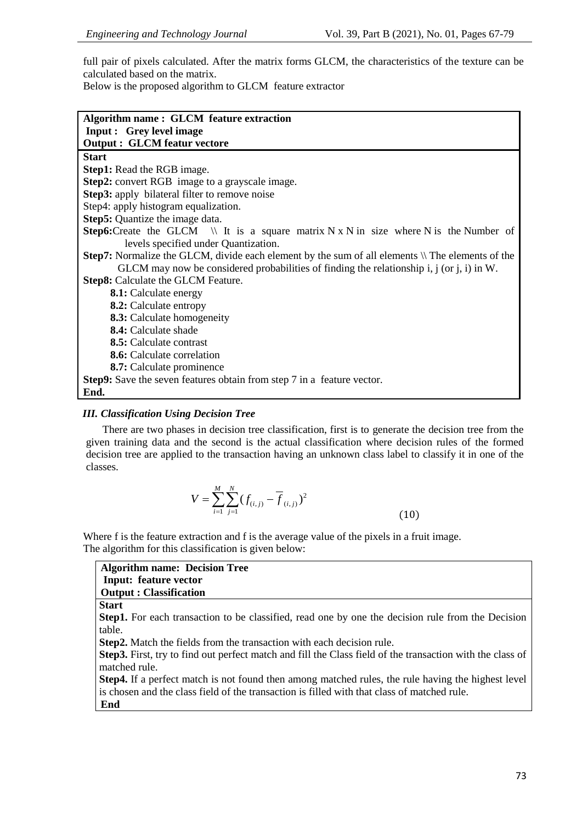full pair of pixels calculated. After the matrix forms GLCM, the characteristics of the texture can be calculated based on the matrix.

Below is the proposed algorithm to GLCM feature extractor

| <b>Input: Grey level image</b>                                                                         |
|--------------------------------------------------------------------------------------------------------|
| <b>Output: GLCM featur vectore</b>                                                                     |
| <b>Start</b>                                                                                           |
| <b>Step1:</b> Read the RGB image.                                                                      |
| <b>Step2:</b> convert RGB image to a grayscale image.                                                  |
| <b>Step3:</b> apply bilateral filter to remove noise                                                   |
| Step4: apply histogram equalization.                                                                   |
| <b>Step5:</b> Quantize the image data.                                                                 |
| <b>Step6:</b> Create the GLCM $\parallel$ It is a square matrix N x N in size where N is the Number of |
| levels specified under Quantization.                                                                   |
| Step7: Normalize the GLCM, divide each element by the sum of all elements \\ The elements of the       |
| GLCM may now be considered probabilities of finding the relationship i, $j$ (or $j$ , $i$ ) in W.      |
| <b>Step8:</b> Calculate the GLCM Feature.                                                              |
| 8.1: Calculate energy                                                                                  |
| <b>8.2:</b> Calculate entropy                                                                          |
| <b>8.3:</b> Calculate homogeneity                                                                      |
| 8.4: Calculate shade                                                                                   |
| <b>8.5:</b> Calculate contrast                                                                         |
| <b>8.6:</b> Calculate correlation                                                                      |
| 8.7: Calculate prominence                                                                              |
| <b>Step9:</b> Save the seven features obtain from step 7 in a feature vector.                          |
| End.                                                                                                   |

# *III. Classification Using Decision Tree*

There are two phases in decision tree classification, first is to generate the decision tree from the given training data and the second is the actual classification where decision rules of the formed decision tree are applied to the transaction having an unknown class label to classify it in one of the classes.

$$
V = \sum_{i=1}^{M} \sum_{j=1}^{N} (f_{(i,j)} - \overline{f}_{(i,j)})^2
$$
\n(10)

Where f is the feature extraction and f is the average value of the pixels in a fruit image. The algorithm for this classification is given below:

| <b>Algorithm name: Decision Tree</b>                                                                                              |
|-----------------------------------------------------------------------------------------------------------------------------------|
| <b>Input: feature vector</b>                                                                                                      |
| <b>Output: Classification</b>                                                                                                     |
| <b>Start</b>                                                                                                                      |
| <b>Step1.</b> For each transaction to be classified, read one by one the decision rule from the Decision                          |
| table.                                                                                                                            |
| <b>Step2.</b> Match the fields from the transaction with each decision rule.                                                      |
| <b>Step3.</b> First, try to find out perfect match and fill the Class field of the transaction with the class of<br>matched rule. |
| <b>Step4.</b> If a perfect match is not found then among matched rules, the rule having the highest level                         |
| is chosen and the class field of the transaction is filled with that class of matched rule.                                       |
| End                                                                                                                               |
|                                                                                                                                   |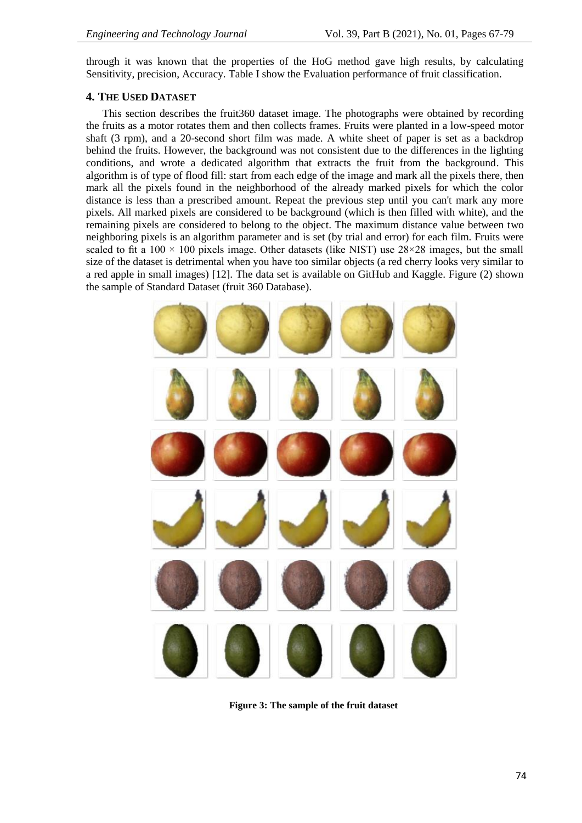through it was known that the properties of the HoG method gave high results, by calculating Sensitivity, precision, Accuracy. Table I show the Evaluation performance of fruit classification.

# **4. THE USED DATASET**

This section describes the fruit360 dataset image. The photographs were obtained by recording the fruits as a motor rotates them and then collects frames. Fruits were planted in a low-speed motor shaft (3 rpm), and a 20-second short film was made. A white sheet of paper is set as a backdrop behind the fruits. However, the background was not consistent due to the differences in the lighting conditions, and wrote a dedicated algorithm that extracts the fruit from the background. This algorithm is of type of flood fill: start from each edge of the image and mark all the pixels there, then mark all the pixels found in the neighborhood of the already marked pixels for which the color distance is less than a prescribed amount. Repeat the previous step until you can't mark any more pixels. All marked pixels are considered to be background (which is then filled with white), and the remaining pixels are considered to belong to the object. The maximum distance value between two neighboring pixels is an algorithm parameter and is set (by trial and error) for each film. Fruits were scaled to fit a  $100 \times 100$  pixels image. Other datasets (like NIST) use  $28 \times 28$  images, but the small size of the dataset is detrimental when you have too similar objects (a red cherry looks very similar to a red apple in small images) [12]. The data set is available on GitHub and Kaggle. Figure (2) shown the sample of Standard Dataset (fruit 360 Database).



**Figure 3: The sample of the fruit dataset**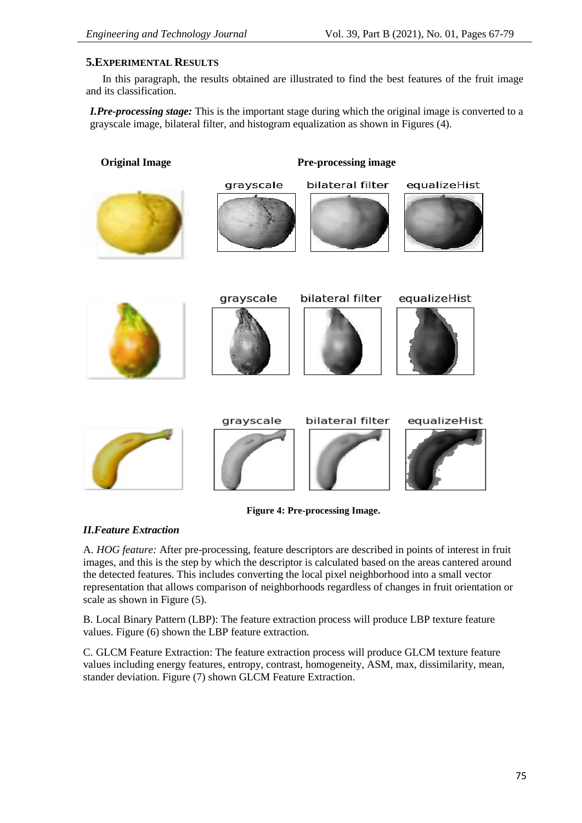# **5.EXPERIMENTAL RESULTS**

In this paragraph, the results obtained are illustrated to find the best features of the fruit image and its classification.

*I.Pre-processing stage:* This is the important stage during which the original image is converted to a grayscale image, bilateral filter, and histogram equalization as shown in Figures (4).

**Original Image Pre-processing image**





bilateral filter





grayscale



bilateral filter













**Figure 4: Pre-processing Image.**

# *II.Feature Extraction*

A. *HOG feature:* After pre-processing, feature descriptors are described in points of interest in fruit images, and this is the step by which the descriptor is calculated based on the areas cantered around the detected features. This includes converting the local pixel neighborhood into a small vector representation that allows comparison of neighborhoods regardless of changes in fruit orientation or scale as shown in Figure (5).

B. Local Binary Pattern (LBP): The feature extraction process will produce LBP texture feature values. Figure (6) shown the LBP feature extraction.

C. GLCM Feature Extraction: The feature extraction process will produce GLCM texture feature values including energy features, entropy, contrast, homogeneity, ASM, max, dissimilarity, mean, stander deviation. Figure (7) shown GLCM Feature Extraction.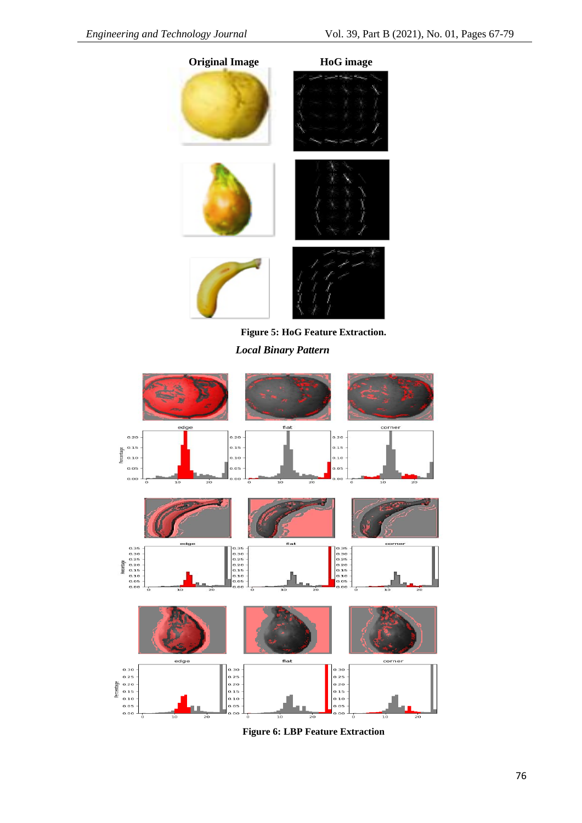

**Figure 5: HoG Feature Extraction.** *Local Binary Pattern*



**Figure 6: LBP Feature Extraction**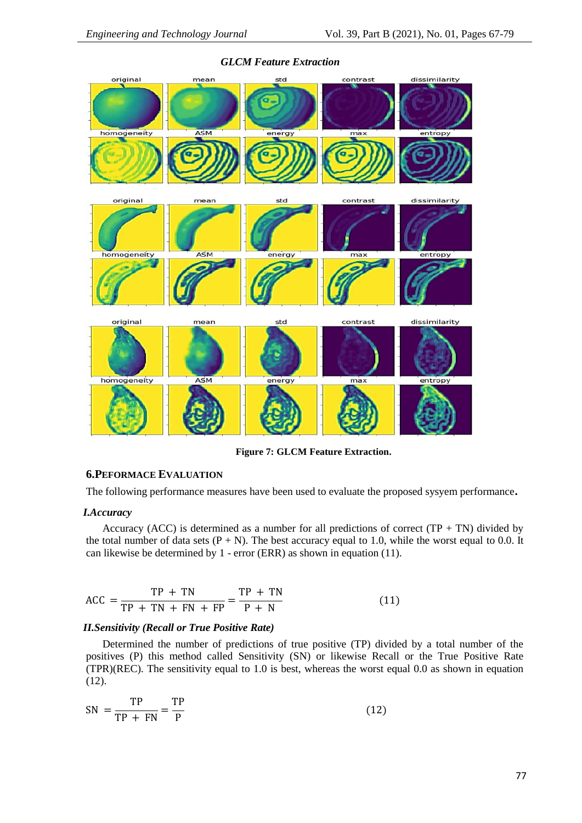

#### *GLCM Feature Extraction*

**Figure 7: GLCM Feature Extraction.**

### **6.PEFORMACE EVALUATION**

The following performance measures have been used to evaluate the proposed sysyem performance**.**

#### *I.Accuracy*

Accuracy (ACC) is determined as a number for all predictions of correct  $(TP + TN)$  divided by the total number of data sets  $(P + N)$ . The best accuracy equal to 1.0, while the worst equal to 0.0. It can likewise be determined by 1 - error (ERR) as shown in equation (11).

$$
\text{ACC} = \frac{\text{TP} + \text{TN}}{\text{TP} + \text{TN} + \text{FN} + \text{FP}} = \frac{\text{TP} + \text{TN}}{\text{P} + \text{N}} \tag{11}
$$

## *II.Sensitivity (Recall or True Positive Rate)*

Determined the number of predictions of true positive (TP) divided by a total number of the positives (P) this method called Sensitivity (SN) or likewise Recall or the True Positive Rate  $(TPR)(REC)$ . The sensitivity equal to 1.0 is best, whereas the worst equal 0.0 as shown in equation (12).

$$
SN = \frac{TP}{TP + FN} = \frac{TP}{P}
$$
 (12)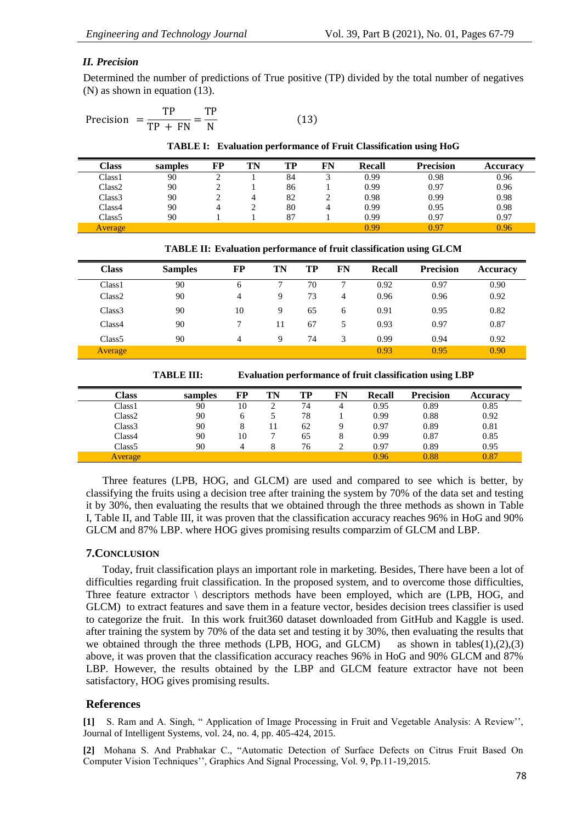#### *II. Precision*

Determined the number of predictions of True positive (TP) divided by the total number of negatives (N) as shown in equation (13).

$$
Precision = \frac{TP}{TP + FN} = \frac{TP}{N}
$$
 (13)

**TABLE I: Evaluation performance of Fruit Classification using HoG**

| <b>Class</b>       | samples | FP | TN | TP | FN | <b>Recall</b> | <b>Precision</b> | Accuracy |
|--------------------|---------|----|----|----|----|---------------|------------------|----------|
| Class <sub>1</sub> | 90      | ∸  |    | 84 |    | 0.99          | 0.98             | 0.96     |
| Class <sub>2</sub> | 90      |    |    | 86 |    | 0.99          | 0.97             | 0.96     |
| Class <sub>3</sub> | 90      |    |    | 82 |    | 0.98          | 0.99             | 0.98     |
| Class4             | 90      |    |    | 80 |    | 0.99          | 0.95             | 0.98     |
| Class <sub>5</sub> | 90      |    |    | 87 |    | 0.99          | 0.97             | 0.97     |
| Average            |         |    |    |    |    | 0.99          | 0.97             | 0.96     |

| TABLE II: Evaluation performance of fruit classification using GLCM |  |  |  |  |  |  |
|---------------------------------------------------------------------|--|--|--|--|--|--|
|---------------------------------------------------------------------|--|--|--|--|--|--|

| <b>Class</b>       | <b>Samples</b> | FP | TN | TP | FN | Recall | <b>Precision</b> | <b>Accuracy</b> |
|--------------------|----------------|----|----|----|----|--------|------------------|-----------------|
| Class <sub>1</sub> | 90             | 6  |    | 70 |    | 0.92   | 0.97             | 0.90            |
| Class <sub>2</sub> | 90             | 4  | 9  | 73 | 4  | 0.96   | 0.96             | 0.92            |
| Class <sub>3</sub> | 90             | 10 | 9  | 65 | 6  | 0.91   | 0.95             | 0.82            |
| Class4             | 90             |    | 11 | 67 |    | 0.93   | 0.97             | 0.87            |
| Class <sub>5</sub> | 90             | 4  | 9  | 74 | 3  | 0.99   | 0.94             | 0.92            |
| <b>Average</b>     |                |    |    |    |    | 0.93   | 0.95             | 0.90            |

**TABLE III: Evaluation performance of fruit classification using LBP**

| Class   | samples | FP | TN | TP | FN | <b>Recall</b> | <b>Precision</b> | <b>Accuracy</b> |
|---------|---------|----|----|----|----|---------------|------------------|-----------------|
| Class1  | 90      | 10 |    | 74 |    | 0.95          | 0.89             | 0.85            |
| Class2  | 90      |    |    | 78 |    | 0.99          | 0.88             | 0.92            |
| Class3  | 90      |    |    | 62 |    | 0.97          | 0.89             | 0.81            |
| Class4  | 90      | 10 |    | 65 | 8  | 0.99          | 0.87             | 0.85            |
| Class5  | 90      |    |    | 76 |    | 0.97          | 0.89             | 0.95            |
| Average |         |    |    |    |    | 0.96          | 0.88             | 0.87            |

Three features (LPB, HOG, and GLCM) are used and compared to see which is better, by classifying the fruits using a decision tree after training the system by 70% of the data set and testing it by 30%, then evaluating the results that we obtained through the three methods as shown in Table I, Table II, and Table III, it was proven that the classification accuracy reaches 96% in HoG and 90% GLCM and 87% LBP. where HOG gives promising results comparzim of GLCM and LBP.

#### **7.CONCLUSION**

Today, fruit classification plays an important role in marketing. Besides, There have been a lot of difficulties regarding fruit classification. In the proposed system, and to overcome those difficulties, Three feature extractor \ descriptors methods have been employed, which are (LPB, HOG, and GLCM) to extract features and save them in a feature vector, besides decision trees classifier is used to categorize the fruit. In this work fruit360 dataset downloaded from GitHub and Kaggle is used. after training the system by 70% of the data set and testing it by 30%, then evaluating the results that we obtained through the three methods (LPB, HOG, and GLCM) as shown in tables $(1),(2),(3)$ above, it was proven that the classification accuracy reaches 96% in HoG and 90% GLCM and 87% LBP. However, the results obtained by the LBP and GLCM feature extractor have not been satisfactory, HOG gives promising results.

#### **References**

**[1]** S. Ram and A. Singh, " Application of Image Processing in Fruit and Vegetable Analysis: A Review'', Journal of Intelligent Systems, vol. 24, no. 4, pp. 405-424, 2015.

**[2]** Mohana S. And Prabhakar C., "Automatic Detection of Surface Defects on Citrus Fruit Based On Computer Vision Techniques'', Graphics And Signal Processing, Vol. 9, Pp.11-19,2015.